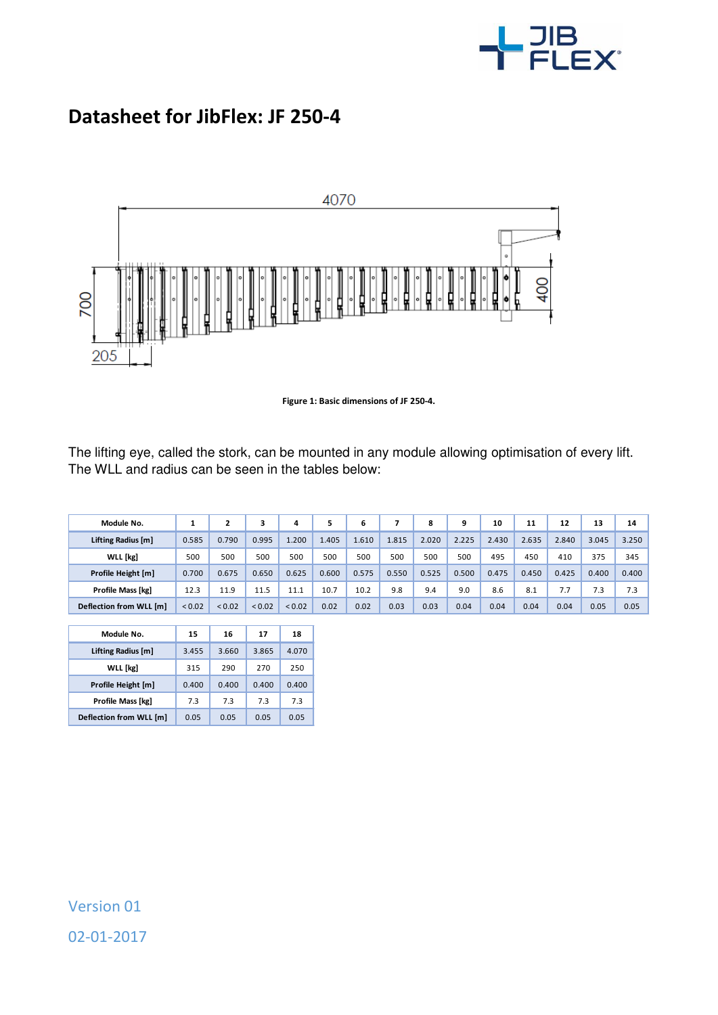

## **Datasheet for JibFlex: JF 250-4**



**Figure 1: Basic dimensions of JF 250-4.** 

The lifting eye, called the stork, can be mounted in any module allowing optimisation of every lift. The WLL and radius can be seen in the tables below:

| Module No.               |        | 2           |             | 4           |       | 6     |       | 8     | 9     | 10    | 11    | 12    | 13    | 14    |
|--------------------------|--------|-------------|-------------|-------------|-------|-------|-------|-------|-------|-------|-------|-------|-------|-------|
| Lifting Radius [m]       | 0.585  | 0.790       | 0.995       | 1.200       | 1.405 | 1.610 | 1.815 | 2.020 | 2.225 | 2.430 | 2.635 | 2.840 | 3.045 | 3.250 |
| WLL [kg]                 | 500    | 500         | 500         | 500         | 500   | 500   | 500   | 500   | 500   | 495   | 450   | 410   | 375   | 345   |
| Profile Height [m]       | 0.700  | 0.675       | 0.650       | 0.625       | 0.600 | 0.575 | 0.550 | 0.525 | 0.500 | 0.475 | 0.450 | 0.425 | 0.400 | 0.400 |
| <b>Profile Mass [kg]</b> | 12.3   | 11.9        | 11.5        | 11.1        | 10.7  | 10.2  | 9.8   | 9.4   | 9.0   | 8.6   | 8.1   | 7.7   | 7.3   | 7.3   |
| Deflection from WLL [m]  | < 0.02 | ${}_{0.02}$ | ${}_{0.02}$ | ${}_{0.02}$ | 0.02  | 0.02  | 0.03  | 0.03  | 0.04  | 0.04  | 0.04  | 0.04  | 0.05  | 0.05  |

I

| Module No.              | 15    | 16    | 17    | 18    |
|-------------------------|-------|-------|-------|-------|
| Lifting Radius [m]      | 3.455 | 3.660 | 3.865 | 4.070 |
| <b>WLL</b> [kg]         | 315   | 290   | 270   | 250   |
| Profile Height [m]      | 0.400 | 0.400 | 0.400 | 0.400 |
| Profile Mass [kg]       | 7.3   | 73    | 7.3   | 7.3   |
| Deflection from WLL [m] | 0.05  | 0.05  | 0.05  | 0.05  |